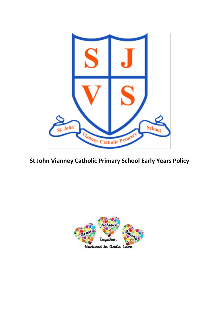

**St John Vianney Catholic Primary School Early Years Policy**

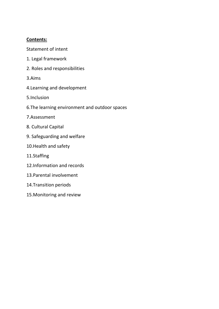# **Contents:**

Statement of intent

- 1. Legal framework
- 2. Roles and responsibilities
- 3.Aims
- 4.Learning and development
- 5.Inclusion
- 6.The learning environment and outdoor spaces
- 7.Assessment
- 8. Cultural Capital
- 9. Safeguarding and welfare
- 10.Health and safety
- 11.Staffing
- 12.Information and records
- 13.Parental involvement
- 14.Transition periods
- 15.Monitoring and review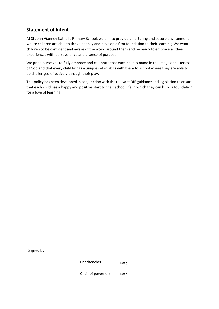### **Statement of Intent**

At St John Vianney Catholic Primary School, we aim to provide a nurturing and secure environment where children are able to thrive happily and develop a firm foundation to their learning. We want children to be confident and aware of the world around them and be ready to embrace all their experiences with perseverance and a sense of purpose.

We pride ourselves to fully embrace and celebrate that each child is made in the image and likeness of God and that every child brings a unique set of skills with them to school where they are able to be challenged effectively through their play.

This policy has been developed in conjunction with the relevant DfE guidance and legislation to ensure that each child has a happy and positive start to their school life in which they can build a foundation for a love of learning.

Signed by:

Headteacher Date:

Chair of governors Date: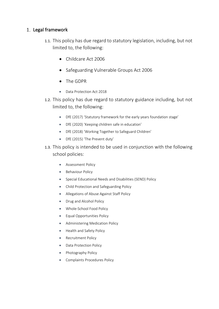# 1. Legal framework

- 1.1. This policy has due regard to statutory legislation, including, but not limited to, the following:
	- Childcare Act 2006
	- Safeguarding Vulnerable Groups Act 2006
	- The GDPR
	- Data Protection Act 2018
- 1.2. This policy has due regard to statutory guidance including, but not limited to, the following:
	- DfE (2017) 'Statutory framework for the early years foundation stage'
	- DfE (2020) 'Keeping children safe in education'
	- DfE (2018) 'Working Together to Safeguard Children'
	- DfE (2015) 'The Prevent duty'
- 1.3. This policy is intended to be used in conjunction with the following school policies:
	- Assessment Policy
	- Behaviour Policy
	- Special Educational Needs and Disabilities (SEND) Policy
	- Child Protection and Safeguarding Policy
	- Allegations of Abuse Against Staff Policy
	- Drug and Alcohol Policy
	- Whole-School Food Policy
	- Equal Opportunities Policy
	- Administering Medication Policy
	- Health and Safety Policy
	- Recruitment Policy
	- Data Protection Policy
	- Photography Policy
	- Complaints Procedures Policy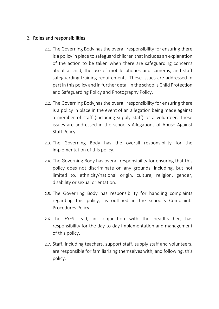# 2. Roles and responsibilities

- 2.1. The Governing Body has the overall responsibility for ensuring there is a policy in place to safeguard children that includes an explanation of the action to be taken when there are safeguarding concerns about a child, the use of mobile phones and cameras, and staff safeguarding training requirements. These issues are addressed in part in this policy and in further detail in the school's Child Protection and Safeguarding Policy and Photography Policy.
- 2.2. The Governing Body has the overall responsibility for ensuring there is a policy in place in the event of an allegation being made against a member of staff (including supply staff) or a volunteer. These issues are addressed in the school's Allegations of Abuse Against Staff Policy.
- 2.3. The Governing Body has the overall responsibility for the implementation of this policy.
- 2.4. The Governing Body has overall responsibility for ensuring that this policy does not discriminate on any grounds, including, but not limited to, ethnicity/national origin, culture, religion, gender, disability or sexual orientation.
- 2.5. The Governing Body has responsibility for handling complaints regarding this policy, as outlined in the school's Complaints Procedures Policy.
- 2.6. The EYFS lead, in conjunction with the headteacher, has responsibility for the day-to-day implementation and management of this policy.
- 2.7. Staff, including teachers, support staff, supply staff and volunteers, are responsible for familiarising themselves with, and following, this policy.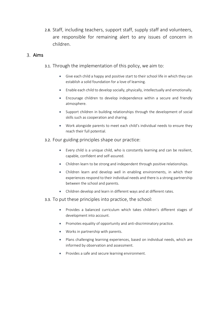2.8. Staff, including teachers, support staff, supply staff and volunteers, are responsible for remaining alert to any issues of concern in children.

#### 3 Aims

- 3.1. Through the implementation of this policy, we aim to:
	- Give each child a happy and positive start to their school life in which they can establish a solid foundation for a love of learning.
	- Enable each child to develop socially, physically, intellectually and emotionally.
	- Encourage children to develop independence within a secure and friendly atmosphere.
	- Support children in building relationships through the development of social skills such as cooperation and sharing.
	- Work alongside parents to meet each child's individual needs to ensure they reach their full potential.
- 3.2. Four guiding principles shape our practice:
	- Every child is a unique child, who is constantly learning and can be resilient, capable, confident and self-assured.
	- Children learn to be strong and independent through positive relationships.
	- Children learn and develop well in enabling environments, in which their experiences respond to their individual needs and there is a strong partnership between the school and parents.
	- Children develop and learn in different ways and at different rates.
- 3.3. To put these principles into practice, the school:
	- Provides a balanced curriculum which takes children's different stages of development into account.
	- Promotes equality of opportunity and anti-discriminatory practice.
	- Works in partnership with parents.
	- Plans challenging learning experiences, based on individual needs, which are informed by observation and assessment.
	- Provides a safe and secure learning environment.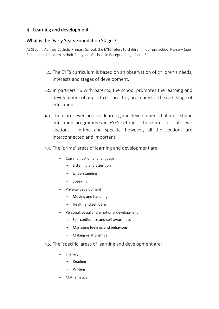# 4. Learning and development

# What is the 'Early Years Foundation Stage'?

At St John Vianney Catholic Primary School, the EYFS refers to children in our pre-school Nursery (age 3 and 4) and children in their first year of school in Reception (age 4 and 5).

- 4.1. The EYFS curriculum is based on an observation of children's needs, interests and stages of development.
- 4.2. In partnership with parents, the school promotes the learning and development of pupils to ensure they are ready for the next stage of education.
- 4.3. There are seven areas of learning and development that must shape education programmes in EYFS settings. These are split into two sections – prime and specific; however, all the sections are interconnected and important.
- 4.4. The 'prime' areas of learning and development are:
	- Communication and language
		- Listening and attention
		- Understanding
		- Speaking
	- Physical development
		- Moving and handling
		- Health and self-care
	- Personal, social and emotional development
		- Self-confidence and self-awareness
		- Managing feelings and behaviour
		- Making relationships
- 4.5. The 'specific' areas of learning and development are:
	- **Literacy** 
		- Reading
		- **Writing**
	- **Mathematics**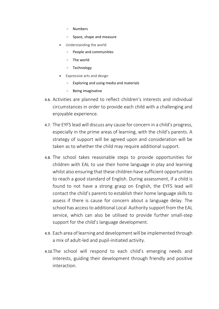- Numbers
- Space, shape and measure
- Understanding the world
	- People and communities
	- The world
	- **Technology**
- Expressive arts and design
	- Exploring and using media and materials
	- Being imaginative
- 4.6. Activities are planned to reflect children's interests and individual circumstances in order to provide each child with a challenging and enjoyable experience.
- 4.7. The EYFS lead will discuss any cause for concern in a child's progress, especially in the prime areas of learning, with the child's parents. A strategy of support will be agreed upon and consideration will be taken as to whether the child may require additional support.
- 4.8. The school takes reasonable steps to provide opportunities for children with EAL to use their home language in play and learning whilst also ensuring that these children have sufficient opportunities to reach a good standard of English. During assessment, if a child is found to not have a strong grasp on English, the EYFS lead will contact the child's parents to establish their home language skills to assess if there is cause for concern about a language delay. The school has access to additional Local Authority support from the EAL service, which can also be utilised to provide further small-step support for the child's language development.
- 4.9. Each area of learning and development will be implemented through a mix of adult-led and pupil-initiated activity.
- 4.10.The school will respond to each child's emerging needs and interests, guiding their development through friendly and positive interaction.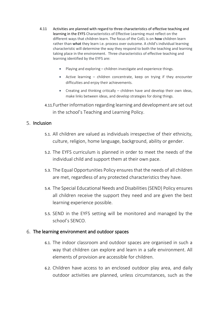- 4.11 Activities are planned with regard to three characteristics of effective teaching and learning in the EYFS Characteristics of Effective Learning must reflect on the different ways that children learn. The focus of the CoEL is on **how** children learn rather than **what** they learn i.e. process over outcome. A child's individual learning characteristic will determine the way they respond to both the teaching and learning taking place in the environment. Three characteristics of effective teaching and learning identified by the EYFS are:
	- Playing and exploring children investigate and experience things.
	- Active learning children concentrate, keep on trying if they encounter difficulties and enjoy their achievements.
	- Creating and thinking critically children have and develop their own ideas, make links between ideas, and develop strategies for doing things.
	- 4.11.Further information regarding learning and development are set out in the school's Teaching and Learning Policy.

### 5 Inclusion

- 5.1. All children are valued as individuals irrespective of their ethnicity, culture, religion, home language, background, ability or gender.
- 5.2. The EYFS curriculum is planned in order to meet the needs of the individual child and support them at their own pace.
- 5.3. The Equal Opportunities Policy ensures that the needs of all children are met, regardless of any protected characteristics they have.
- 5.4. The Special Educational Needs and Disabilities (SEND) Policy ensures all children receive the support they need and are given the best learning experience possible.
- 5.5. SEND in the EYFS setting will be monitored and managed by the school's SENCO.

#### The learning environment and outdoor spaces

- 6.1. The indoor classroom and outdoor spaces are organised in such a way that children can explore and learn in a safe environment. All elements of provision are accessible for children.
- 6.2. Children have access to an enclosed outdoor play area, and daily outdoor activities are planned, unless circumstances, such as the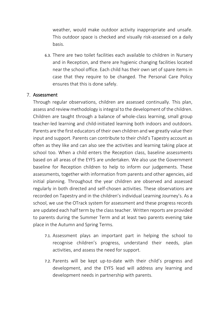weather, would make outdoor activity inappropriate and unsafe. This outdoor space is checked and visually risk-assessed on a daily basis.

6.3. There are two toilet facilities each available to children in Nursery and in Reception, and there are hygienic changing facilities located near the school office. Each child has their own set of spare items in case that they require to be changed. The Personal Care Policy ensures that this is done safely.

# 7. Assessment

Through regular observations, children are assessed continually. This plan, assess and review methodology is integral to the development of the children. Children are taught through a balance of whole-class learning, small group teacher-led learning and child-initiated learning both indoors and outdoors. Parents are the first educators of their own children and we greatly value their input and support. Parents can contribute to their child's Tapestry account as often as they like and can also see the activities and learning taking place at school too. When a child enters the Reception class, baseline assessments based on all areas of the EYFS are undertaken. We also use the Government baseline for Reception children to help to inform our judgements. These assessments, together with information from parents and other agencies, aid initial planning. Throughout the year children are observed and assessed regularly in both directed and self-chosen activities. These observations are recorded on Tapestry and in the children's individual Learning Journey's. As a school, we use the OTrack system for assessment and these progress records are updated each half term by the class teacher. Written reports are provided to parents during the Summer Term and at least two parents evening take place in the Autumn and Spring Terms.

- 7.1. Assessment plays an important part in helping the school to recognise children's progress, understand their needs, plan activities, and assess the need for support.
- 7.2. Parents will be kept up-to-date with their child's progress and development, and the EYFS lead will address any learning and development needs in partnership with parents.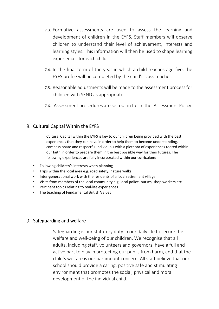- 7.3. Formative assessments are used to assess the learning and development of children in the EYFS. Staff members will observe children to understand their level of achievement, interests and learning styles. This information will then be used to shape learning experiences for each child.
- 7.4. In the final term of the year in which a child reaches age five, the EYFS profile will be completed by the child's class teacher.
- 7.5. Reasonable adjustments will be made to the assessment process for children with SEND as appropriate.
- 7.6. Assessment procedures are set out in full in the Assessment Policy.

### 8. Cultural Capital Within the EYFS

Cultural Capital within the EYFS is key to our children being provided with the best experiences that they can have in order to help them to become understanding, compassionate and respectful individuals with a plethora of experiences rooted within our faith in order to prepare them in the best possible way for their futures. The following experiences are fully incorporated within our curriculum:

- Following children's interests when planning
- Trips within the local area e.g. road safety, nature walks
- Inter-generational work with the residents of a local retirement village
- Visits from members of the local community e.g. local police, nurses, shop workers etc
- Pertinent topics relating to real-life experiences
- The teaching of Fundamental British Values

### 9. Safeguarding and welfare

Safeguarding is our statutory duty in our daily life to secure the welfare and well-being of our children. We recognise that all adults, including staff, volunteers and governors, have a full and active part to play in protecting our pupils from harm, and that the child's welfare is our paramount concern. All staff believe that our school should provide a caring, positive safe and stimulating environment that promotes the social, physical and moral development of the individual child.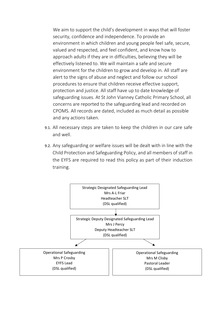We aim to support the child's development in ways that will foster security, confidence and independence. To provide an environment in which children and young people feel safe, secure, valued and respected, and feel confident, and know how to approach adults if they are in difficulties, believing they will be effectively listened to. We will maintain a safe and secure environment for the children to grow and develop in. All staff are alert to the signs of abuse and neglect and follow our school procedures to ensure that children receive effective support, protection and justice. All staff have up to date knowledge of safeguarding issues. At St John Vianney Catholic Primary School, all concerns are reported to the safeguarding lead and recorded on CPOMS. All records are dated, included as much detail as possible and any actions taken.

- 9.1. All necessary steps are taken to keep the children in our care safe and well.
- 9.2. Any safeguarding or welfare issues will be dealt with in line with the Child Protection and Safeguarding Policy, and all members of staff in the EYFS are required to read this policy as part of their induction training.

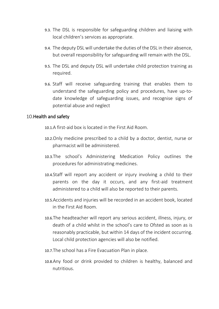- 9.3. The DSL is responsible for safeguarding children and liaising with local children's services as appropriate.
- 9.4. The deputy DSL will undertake the duties of the DSL in their absence, but overall responsibility for safeguarding will remain with the DSL.
- 9.5. The DSL and deputy DSL will undertake child protection training as required.
- 9.6. Staff will receive safeguarding training that enables them to understand the safeguarding policy and procedures, have up-todate knowledge of safeguarding issues, and recognise signs of potential abuse and neglect

#### 10. Health and safety

- 10.1.A first-aid box is located in the First Aid Room.
- 10.2.Only medicine prescribed to a child by a doctor, dentist, nurse or pharmacist will be administered.
- 10.3.The school's Administering Medication Policy outlines the procedures for administrating medicines.
- 10.4.Staff will report any accident or injury involving a child to their parents on the day it occurs, and any first-aid treatment administered to a child will also be reported to their parents.
- 10.5.Accidents and injuries will be recorded in an accident book, located in the First Aid Room.
- 10.6.The headteacher will report any serious accident, illness, injury, or death of a child whilst in the school's care to Ofsted as soon as is reasonably practicable, but within 14 days of the incident occurring. Local child protection agencies will also be notified.
- 10.7.The school has a Fire Evacuation Plan in place.
- 10.8.Any food or drink provided to children is healthy, balanced and nutritious.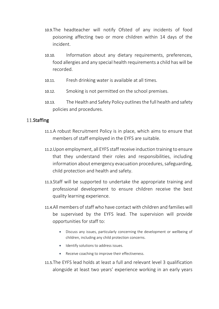- 10.9.The headteacher will notify Ofsted of any incidents of food poisoning affecting two or more children within 14 days of the incident.
- 10.10. Information about any dietary requirements, preferences, food allergies and any special health requirements a child has will be recorded.
- 10.11. Fresh drinking water is available at all times.
- 10.12. Smoking is not permitted on the school premises.
- 10.13. The Health and Safety Policy outlines the full health and safety policies and procedures.

#### 11.Staffing

- 11.1.A robust Recruitment Policy is in place, which aims to ensure that members of staff employed in the EYFS are suitable.
- 11.2.Upon employment, all EYFS staff receive induction training to ensure that they understand their roles and responsibilities, including information about emergency evacuation procedures, safeguarding, child protection and health and safety.
- 11.3.Staff will be supported to undertake the appropriate training and professional development to ensure children receive the best quality learning experience.
- 11.4.All members of staff who have contact with children and families will be supervised by the EYFS lead. The supervision will provide opportunities for staff to:
	- Discuss any issues, particularly concerning the development or wellbeing of children, including any child protection concerns.
	- Identify solutions to address issues.
	- Receive coaching to improve their effectiveness.
- 11.5.The EYFS lead holds at least a full and relevant level 3 qualification alongside at least two years' experience working in an early years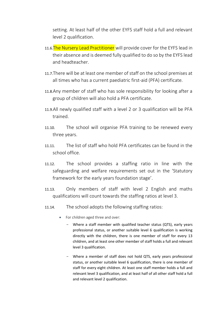setting. At least half of the other EYFS staff hold a full and relevant level 2 qualification.

- 11.6. The Nursery Lead Practitioner will provide cover for the EYFS lead in their absence and is deemed fully qualified to do so by the EYFS lead and headteacher.
- 11.7.There will be at least one member of staff on the school premises at all times who has a current paediatric first-aid (PFA) certificate.
- 11.8.Any member of staff who has sole responsibility for looking after a group of children will also hold a PFA certificate.
- 11.9.All newly qualified staff with a level 2 or 3 qualification will be PFA trained.
- 11.10. The school will organise PFA training to be renewed every three years.
- 11.11. The list of staff who hold PFA certificates can be found in the school office.
- 11.12. The school provides a staffing ratio in line with the safeguarding and welfare requirements set out in the 'Statutory framework for the early years foundation stage'.
- 11.13. Only members of staff with level 2 English and maths qualifications will count towards the staffing ratios at level 3.
- 11.14. The school adopts the following staffing ratios:
	- For children aged three and over:
		- Where a staff member with qualified teacher status (QTS), early years professional status, or another suitable level 6 qualification is working directly with the children, there is one member of staff for every 13 children, and at least one other member of staff holds a full and relevant level 3 qualification.
		- Where a member of staff does not hold QTS, early years professional status, or another suitable level 6 qualification, there is one member of staff for every eight children. At least one staff member holds a full and relevant level 3 qualification, and at least half of all other staff hold a full and relevant level 2 qualification.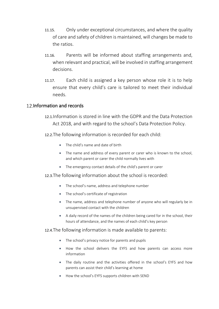- 11.15. Only under exceptional circumstances, and where the quality of care and safety of children is maintained, will changes be made to the ratios.
- 11.16. Parents will be informed about staffing arrangements and, when relevant and practical, will be involved in staffing arrangement decisions.
- 11.17. Each child is assigned a key person whose role it is to help ensure that every child's care is tailored to meet their individual needs.

#### 12. Information and records

- 12.1.Information is stored in line with the GDPR and the Data Protection Act 2018, and with regard to the school's Data Protection Policy.
- 12.2.The following information is recorded for each child:
	- The child's name and date of birth
	- The name and address of every parent or carer who is known to the school, and which parent or carer the child normally lives with
	- The emergency contact details of the child's parent or carer
- 12.3.The following information about the school is recorded:
	- The school's name, address and telephone number
	- The school's certificate of registration
	- The name, address and telephone number of anyone who will regularly be in unsupervised contact with the children
	- A daily record of the names of the children being cared for in the school, their hours of attendance, and the names of each child's key person

#### 12.4.The following information is made available to parents:

- The school's privacy notice for parents and pupils
- How the school delivers the EYFS and how parents can access more information
- The daily routine and the activities offered in the school's EYFS and how parents can assist their child's learning at home
- How the school's EYFS supports children with SEND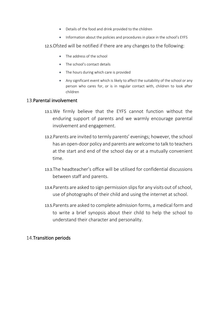- Details of the food and drink provided to the children
- Information about the policies and procedures in place in the school's EYFS
- 12.5.Ofsted will be notified if there are any changes to the following:
	- The address of the school
	- The school's contact details
	- The hours during which care is provided
	- Any significant event which is likely to affect the suitability of the school or any person who cares for, or is in regular contact with, children to look after children

#### 13. Parental involvement

- 13.1.We firmly believe that the EYFS cannot function without the enduring support of parents and we warmly encourage parental involvement and engagement.
- 13.2.Parents are invited to termly parents' evenings; however, the school has an open-door policy and parents are welcome to talk to teachers at the start and end of the school day or at a mutually convenient time.
- 13.3.The headteacher's office will be utilised for confidential discussions between staff and parents.
- 13.4.Parents are asked to sign permission slips for any visits out of school, use of photographs of their child and using the internet at school.
- 13.5.Parents are asked to complete admission forms, a medical form and to write a brief synopsis about their child to help the school to understand their character and personality.

### 14. Transition periods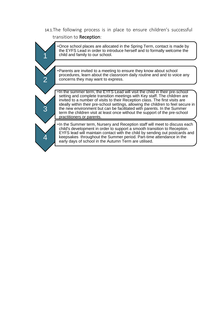# 14.1.The following process is in place to ensure children's successful transition to Reception: